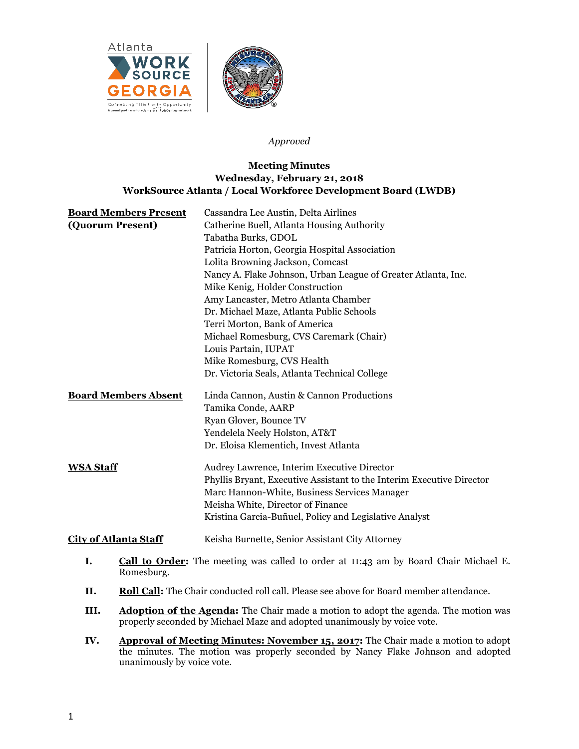

### *Approved*

# **Meeting Minutes Wednesday, February 21, 2018 WorkSource Atlanta / Local Workforce Development Board (LWDB)**

| <b>Board Members Present</b> | Cassandra Lee Austin, Delta Airlines                                                        |
|------------------------------|---------------------------------------------------------------------------------------------|
| (Quorum Present)             | Catherine Buell, Atlanta Housing Authority                                                  |
|                              | Tabatha Burks, GDOL                                                                         |
|                              | Patricia Horton, Georgia Hospital Association                                               |
|                              | Lolita Browning Jackson, Comcast                                                            |
|                              | Nancy A. Flake Johnson, Urban League of Greater Atlanta, Inc.                               |
|                              | Mike Kenig, Holder Construction                                                             |
|                              | Amy Lancaster, Metro Atlanta Chamber                                                        |
|                              | Dr. Michael Maze, Atlanta Public Schools                                                    |
|                              | Terri Morton, Bank of America                                                               |
|                              | Michael Romesburg, CVS Caremark (Chair)                                                     |
|                              | Louis Partain, IUPAT                                                                        |
|                              | Mike Romesburg, CVS Health                                                                  |
|                              | Dr. Victoria Seals, Atlanta Technical College                                               |
| <b>Board Members Absent</b>  | Linda Cannon, Austin & Cannon Productions                                                   |
|                              | Tamika Conde, AARP                                                                          |
|                              | Ryan Glover, Bounce TV                                                                      |
|                              | Yendelela Neely Holston, AT&T                                                               |
|                              | Dr. Eloisa Klementich, Invest Atlanta                                                       |
| <b>WSA Staff</b>             | Audrey Lawrence, Interim Executive Director                                                 |
|                              | Phyllis Bryant, Executive Assistant to the Interim Executive Director                       |
|                              | Marc Hannon-White, Business Services Manager                                                |
|                              | Meisha White, Director of Finance                                                           |
|                              | Kristina Garcia-Buñuel, Policy and Legislative Analyst                                      |
| <b>City of Atlanta Staff</b> | Keisha Burnette, Senior Assistant City Attorney                                             |
| I.<br>Romesburg.             | <b>Call to Order:</b> The meeting was called to order at 11:43 am by Board Chair Michael E. |
| <b>II.</b>                   | Roll Call: The Chair conducted roll call. Please see above for Board member attendance.     |

- **III.** Adoption of the Agenda: The Chair made a motion to adopt the agenda. The motion was properly seconded by Michael Maze and adopted unanimously by voice vote.
- **IV. Approval of Meeting Minutes: November 15, 2017:** The Chair made a motion to adopt the minutes. The motion was properly seconded by Nancy Flake Johnson and adopted unanimously by voice vote.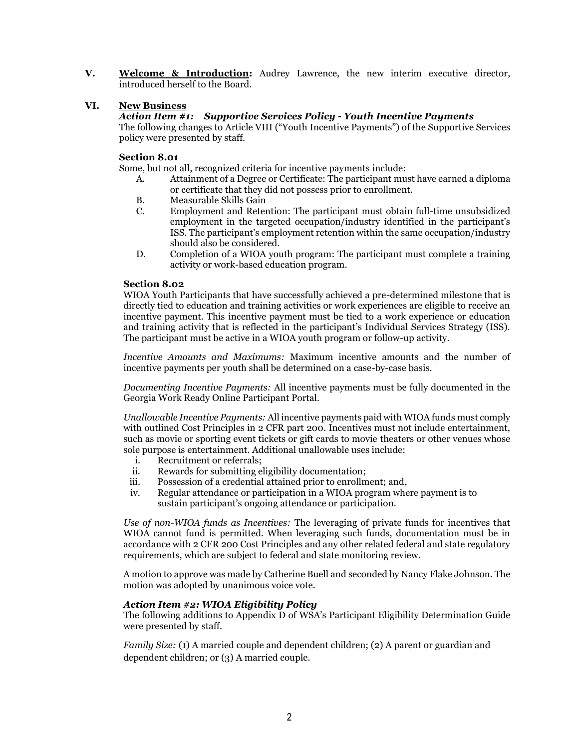**V. Welcome & Introduction:** Audrey Lawrence, the new interim executive director, introduced herself to the Board.

# **VI. New Business**

### *Action Item #1: Supportive Services Policy - Youth Incentive Payments*

The following changes to Article VIII ("Youth Incentive Payments") of the Supportive Services policy were presented by staff.

### **Section 8.01**

Some, but not all, recognized criteria for incentive payments include:

- A. Attainment of a Degree or Certificate: The participant must have earned a diploma or certificate that they did not possess prior to enrollment.
- B. Measurable Skills Gain
- C. Employment and Retention: The participant must obtain full-time unsubsidized employment in the targeted occupation/industry identified in the participant's ISS. The participant's employment retention within the same occupation/industry should also be considered.
- D. Completion of a WIOA youth program: The participant must complete a training activity or work-based education program.

#### **Section 8.02**

WIOA Youth Participants that have successfully achieved a pre-determined milestone that is directly tied to education and training activities or work experiences are eligible to receive an incentive payment. This incentive payment must be tied to a work experience or education and training activity that is reflected in the participant's Individual Services Strategy (ISS). The participant must be active in a WIOA youth program or follow-up activity.

*Incentive Amounts and Maximums:* Maximum incentive amounts and the number of incentive payments per youth shall be determined on a case-by-case basis.

*Documenting Incentive Payments:* All incentive payments must be fully documented in the Georgia Work Ready Online Participant Portal.

*Unallowable Incentive Payments:* All incentive payments paid with WIOA funds must comply with outlined Cost Principles in 2 CFR part 200. Incentives must not include entertainment, such as movie or sporting event tickets or gift cards to movie theaters or other venues whose sole purpose is entertainment. Additional unallowable uses include:

- i. Recruitment or referrals;
- ii. Rewards for submitting eligibility documentation;
- iii. Possession of a credential attained prior to enrollment; and,
- iv. Regular attendance or participation in a WIOA program where payment is to sustain participant's ongoing attendance or participation.

*Use of non-WIOA funds as Incentives:* The leveraging of private funds for incentives that WIOA cannot fund is permitted. When leveraging such funds, documentation must be in accordance with 2 CFR 200 Cost Principles and any other related federal and state regulatory requirements, which are subject to federal and state monitoring review.

A motion to approve was made by Catherine Buell and seconded by Nancy Flake Johnson. The motion was adopted by unanimous voice vote.

#### *Action Item #2: WIOA Eligibility Policy*

The following additions to Appendix D of WSA's Participant Eligibility Determination Guide were presented by staff.

*Family Size:* (1) A married couple and dependent children; (2) A parent or guardian and dependent children; or (3) A married couple.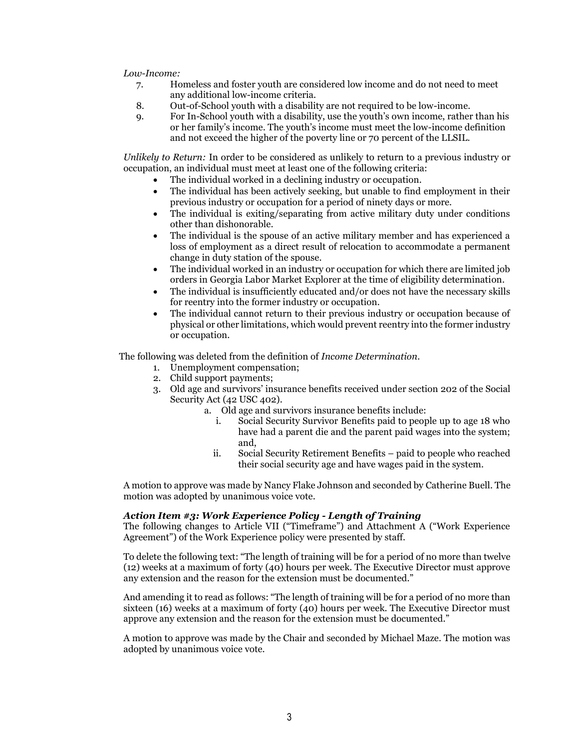*Low-Income:*

- 7. Homeless and foster youth are considered low income and do not need to meet any additional low-income criteria.
- 8. Out-of-School youth with a disability are not required to be low-income.
- 9. For In-School youth with a disability, use the youth's own income, rather than his or her family's income. The youth's income must meet the low-income definition and not exceed the higher of the poverty line or 70 percent of the LLSIL.

*Unlikely to Return:* In order to be considered as unlikely to return to a previous industry or occupation, an individual must meet at least one of the following criteria:

- The individual worked in a declining industry or occupation.
	- The individual has been actively seeking, but unable to find employment in their previous industry or occupation for a period of ninety days or more.
	- The individual is exiting/separating from active military duty under conditions other than dishonorable.
	- The individual is the spouse of an active military member and has experienced a loss of employment as a direct result of relocation to accommodate a permanent change in duty station of the spouse.
	- The individual worked in an industry or occupation for which there are limited job orders in Georgia Labor Market Explorer at the time of eligibility determination.
	- The individual is insufficiently educated and/or does not have the necessary skills for reentry into the former industry or occupation.
	- The individual cannot return to their previous industry or occupation because of physical or other limitations, which would prevent reentry into the former industry or occupation.

The following was deleted from the definition of *Income Determination*.

- 1. Unemployment compensation;
- 2. Child support payments;
- 3. Old age and survivors' insurance benefits received under section 202 of the Social Security Act (42 USC 402).
	- a. Old age and survivors insurance benefits include:
		- i. Social Security Survivor Benefits paid to people up to age 18 who have had a parent die and the parent paid wages into the system; and,
		- ii. Social Security Retirement Benefits paid to people who reached their social security age and have wages paid in the system.

A motion to approve was made by Nancy Flake Johnson and seconded by Catherine Buell. The motion was adopted by unanimous voice vote.

### *Action Item #3: Work Experience Policy - Length of Training*

The following changes to Article VII ("Timeframe") and Attachment A ("Work Experience Agreement") of the Work Experience policy were presented by staff.

To delete the following text: "The length of training will be for a period of no more than twelve (12) weeks at a maximum of forty (40) hours per week. The Executive Director must approve any extension and the reason for the extension must be documented."

And amending it to read as follows: "The length of training will be for a period of no more than sixteen (16) weeks at a maximum of forty (40) hours per week. The Executive Director must approve any extension and the reason for the extension must be documented."

A motion to approve was made by the Chair and seconded by Michael Maze. The motion was adopted by unanimous voice vote.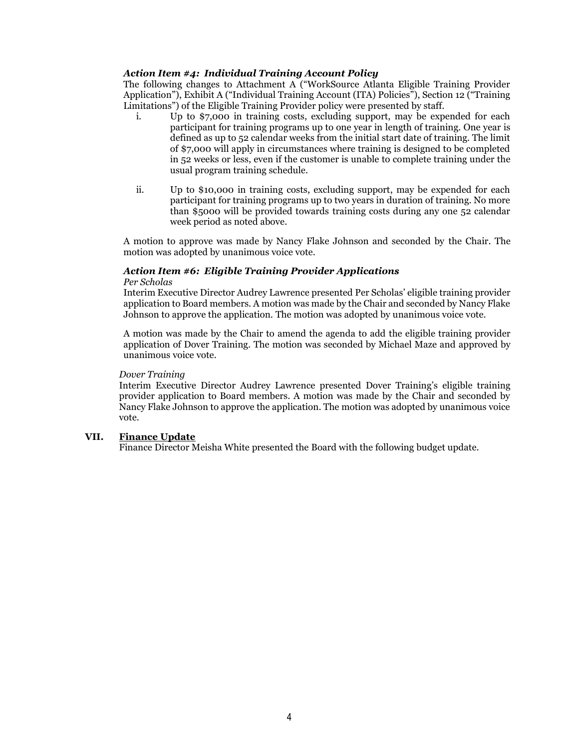### *Action Item #4: Individual Training Account Policy*

The following changes to Attachment A ("WorkSource Atlanta Eligible Training Provider Application"), Exhibit A ("Individual Training Account (ITA) Policies"), Section 12 ("Training Limitations") of the Eligible Training Provider policy were presented by staff.

- i. Up to \$7,000 in training costs, excluding support, may be expended for each participant for training programs up to one year in length of training. One year is defined as up to 52 calendar weeks from the initial start date of training. The limit of \$7,000 will apply in circumstances where training is designed to be completed in 52 weeks or less, even if the customer is unable to complete training under the usual program training schedule.
- ii. Up to \$10,000 in training costs, excluding support, may be expended for each participant for training programs up to two years in duration of training. No more than \$5000 will be provided towards training costs during any one 52 calendar week period as noted above.

A motion to approve was made by Nancy Flake Johnson and seconded by the Chair. The motion was adopted by unanimous voice vote.

## *Action Item #6: Eligible Training Provider Applications*

#### *Per Scholas*

Interim Executive Director Audrey Lawrence presented Per Scholas' eligible training provider application to Board members. A motion was made by the Chair and seconded by Nancy Flake Johnson to approve the application. The motion was adopted by unanimous voice vote.

A motion was made by the Chair to amend the agenda to add the eligible training provider application of Dover Training. The motion was seconded by Michael Maze and approved by unanimous voice vote.

### *Dover Training*

Interim Executive Director Audrey Lawrence presented Dover Training's eligible training provider application to Board members. A motion was made by the Chair and seconded by Nancy Flake Johnson to approve the application. The motion was adopted by unanimous voice vote.

## **VII. Finance Update**

Finance Director Meisha White presented the Board with the following budget update.